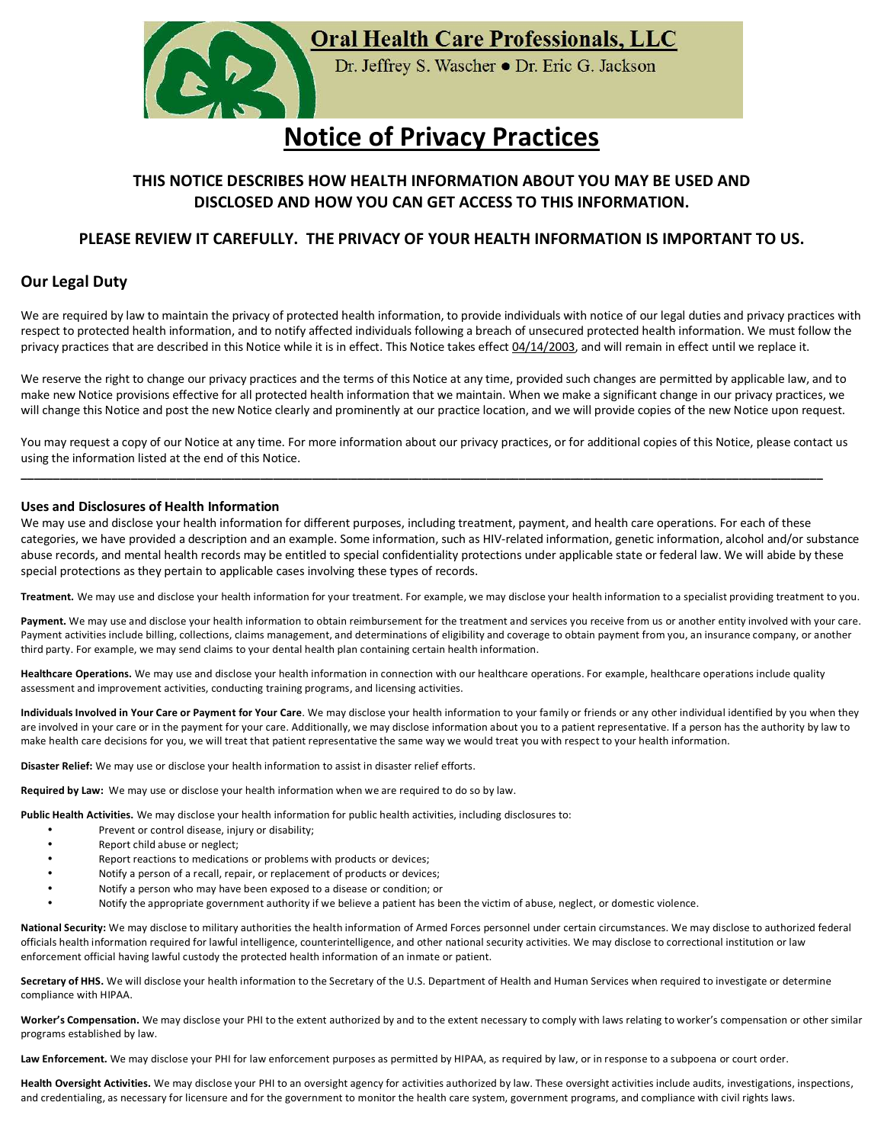

# **Notice of Privacy Practices**

# **THIS NOTICE DESCRIBES HOW HEALTH INFORMATION ABOUT YOU MAY BE USED AND DISCLOSED AND HOW YOU CAN GET ACCESS TO THIS INFORMATION.**

## **PLEASE REVIEW IT CAREFULLY. THE PRIVACY OF YOUR HEALTH INFORMATION IS IMPORTANT TO US.**

## **Our Legal Duty**

We are required by law to maintain the privacy of protected health information, to provide individuals with notice of our legal duties and privacy practices with respect to protected health information, and to notify affected individuals following a breach of unsecured protected health information. We must follow the privacy practices that are described in this Notice while it is in effect. This Notice takes effect 04/14/2003, and will remain in effect until we replace it.

We reserve the right to change our privacy practices and the terms of this Notice at any time, provided such changes are permitted by applicable law, and to make new Notice provisions effective for all protected health information that we maintain. When we make a significant change in our privacy practices, we will change this Notice and post the new Notice clearly and prominently at our practice location, and we will provide copies of the new Notice upon request.

You may request a copy of our Notice at any time. For more information about our privacy practices, or for additional copies of this Notice, please contact us using the information listed at the end of this Notice.

**\_\_\_\_\_\_\_\_\_\_\_\_\_\_\_\_\_\_\_\_\_\_\_\_\_\_\_\_\_\_\_\_\_\_\_\_\_\_\_\_\_\_\_\_\_\_\_\_\_\_\_\_\_\_\_\_\_\_\_\_\_\_\_\_\_\_\_\_\_\_\_\_\_\_\_\_\_\_\_\_\_\_\_\_\_\_\_\_\_\_\_\_\_\_\_\_\_\_\_\_\_\_\_\_\_\_\_\_\_\_\_\_\_\_\_\_\_\_\_\_\_\_\_\_** 

## **Uses and Disclosures of Health Information**

We may use and disclose your health information for different purposes, including treatment, payment, and health care operations. For each of these categories, we have provided a description and an example. Some information, such as HIV-related information, genetic information, alcohol and/or substance abuse records, and mental health records may be entitled to special confidentiality protections under applicable state or federal law. We will abide by these special protections as they pertain to applicable cases involving these types of records.

**Treatment.** We may use and disclose your health information for your treatment. For example, we may disclose your health information to a specialist providing treatment to you.

Payment. We may use and disclose your health information to obtain reimbursement for the treatment and services you receive from us or another entity involved with your care. Payment activities include billing, collections, claims management, and determinations of eligibility and coverage to obtain payment from you, an insurance company, or another third party. For example, we may send claims to your dental health plan containing certain health information.

**Healthcare Operations.** We may use and disclose your health information in connection with our healthcare operations. For example, healthcare operations include quality assessment and improvement activities, conducting training programs, and licensing activities.

**Individuals Involved in Your Care or Payment for Your Care**. We may disclose your health information to your family or friends or any other individual identified by you when they are involved in your care or in the payment for your care. Additionally, we may disclose information about you to a patient representative. If a person has the authority by law to make health care decisions for you, we will treat that patient representative the same way we would treat you with respect to your health information.

**Disaster Relief:** We may use or disclose your health information to assist in disaster relief efforts.

**Required by Law:** We may use or disclose your health information when we are required to do so by law.

**Public Health Activities.** We may disclose your health information for public health activities, including disclosures to:

- Prevent or control disease, injury or disability;
- Report child abuse or neglect;
- Report reactions to medications or problems with products or devices;
- Notify a person of a recall, repair, or replacement of products or devices;
- Notify a person who may have been exposed to a disease or condition; or
- Notify the appropriate government authority if we believe a patient has been the victim of abuse, neglect, or domestic violence.

**National Security:** We may disclose to military authorities the health information of Armed Forces personnel under certain circumstances. We may disclose to authorized federal officials health information required for lawful intelligence, counterintelligence, and other national security activities. We may disclose to correctional institution or law enforcement official having lawful custody the protected health information of an inmate or patient.

Secretary of HHS. We will disclose your health information to the Secretary of the U.S. Department of Health and Human Services when required to investigate or determine compliance with HIPAA.

**Worker's Compensation.** We may disclose your PHI to the extent authorized by and to the extent necessary to comply with laws relating to worker's compensation or other similar programs established by law.

Law Enforcement. We may disclose your PHI for law enforcement purposes as permitted by HIPAA, as required by law, or in response to a subpoena or court order.

**Health Oversight Activities.** We may disclose your PHI to an oversight agency for activities authorized by law. These oversight activities include audits, investigations, inspections, and credentialing, as necessary for licensure and for the government to monitor the health care system, government programs, and compliance with civil rights laws.